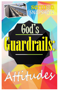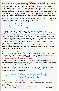Several years ago, there was a convention for barbers that was held in downtown Chicago. Several barbers wanted to show the good that they could do to the community. They found a drunk who was sleeping in an alley behind the hotel where the convention was held. Several barbers brought him in—they bathed him, gave him a nice haircut, manicured his nails, and bought him a new suit. Photographers took pictures for the local newspaper. The manager of the hotel was so impressed that he offered the man a job. The next day, no one could find him. They searched and searched for him. They found him asleep in the alley behind the hotel. He had sold his suit for a cheap bottle of wine and was right back where he started.

The barbers had cleaned him up on the outside, but they failed to change his insides. Until the inside is changed, a person will always remain the way he is. The focus of the gospels is upon changing us—from the inside out—God uses words like:

- $\Box$  Newness of life (Rom 6:4)
- $\Box$  New self (Ephesians 4:24)
- $\Box$  Christ lives in me (Galatians 2:20)

Years ago when I was in college, I used to walk to church services. A couple of neighborhood dogs used to follow me. They'd walk right with me and wait on the front steps until I came out. Everyone thought they were my dogs. They weren't. One Sunday, the dogs came inside and sat in the isle next to me. A couple of men asked me to take my dogs outside. I tried to explain that they weren't my dogs. As soon as I took them out, they snuck back in. This happened for several weeks. One Sunday they sat on the floor in the back for the worship. Did it do them any good? No. They weren't changed—they were dogs. They hadn't changed on the inside.

This morning we conclude our series we have been doing on Guardrails. It's been a great series. James will have the series in our CD rack very soon. We think that this will be a great series to pass along to others.

#### **A. Guardrails—we see them everywhere.**

They are not pretty but they serve a very important function. They are placed on bridges, curves and near cliffs. They keep us from danger. Hitting a guardrail will damage your car—but that is better than going off a cliff. The purpose is to keep you from serious injury. **B. God also has guardrails—they are His word** 

God wants to keep us from ruining our life...those who have ignored guardrails have crashed marriages, ruined their finances, destroyed their reputations and have injured many people—emotionally, physically, and spiritually

When our conscience runs into God's guardrails—it causes guilt. That guilt will make us have a course correction...it is not meant to destroy us but to keep us from destroying ourselves. God knows what is best for us.

**Proverbs 27:12 has been the theme passage in this series. The prudent sees danger…The prudent has their eyes open…The prudent is watching… The prudent is careful**

#### **C. Today, we look at "Guardrails around attitudes**"

- Attitudes are the way we are on the inside, it's the way we see things, it's how we feel about things

Emerson: "What lies behind us and what lies before us are tiny matters compare to what lies within us" - attitude **Continued…**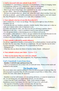#### **1. God is concerned with your attitude (Luke 10:27)**

2 Corinthians 9:7 cheerfulness; Colossians 3:16 thankfulness; 1 Peter 2:2 longing; James

5:16 passionate; Hebrews 13:17 submissive—these are all attitudes!

- 1 Corinthians 10:10- grumbling and complaining is an attitude

- How we get about doing things...how committed we are...how we respect others...how we view others—these are all determined by our attitudes

- We have an attitude about sin...about God...about His word...about worship. Every one of us has an attitude…good, healthy and positive or it can be negative, toxic and warped. See Also Philippians 2:4, Romans 12:3, Luke 18:9, 2 Galatians 5:19-21

#### **2. Your attitude is the lens of your life (Proverbs 23:7)**

Like a camera lens, it's how we see things. This lens can be right on, fuzzy  $\&$  blurry (Numbers 14:1-4)

- It reveals the real you: kindness, prejudice, helpful, hurtful. What comes out is what we really are. It shows others what is important to you.

(A Golfer will clean his clubs...one who loves his car will keep it spotless, there's differences in the way a room is considered clean by mom and her teenager)

- It is the greatest factor in determining success or failure in all you do.

For example, a shoe salesmen in Africa: one guy wanted to be sent home because no one wore shoes… the other guy wanted more help because no one wore shoes.

-It affects all of your relationships, especially with God (Psalm 95:3)

#### **3. Your attitude is affected by outside influences**

An advisor suggested to Lincoln a certain person for a cabinet position. Lincoln said that he didn't like the man's face. The advisor complained, "He can't help the way he looks." Lincoln responded, "Every man over 40 is responsible for his face."

- Philippians 4:8

- What does this say about our choice of movies, books, friends—influencers?

#### **4. Your attitude is always your choice** - Romans 12:16

#### **5. There are five factors that can crash your attitude.**

Proverbs 4:23 (KJV) –(Fear, Discouragement, Sin, Negativism, Problems)

### **God's Guardrail: Learn from Jesus**

#### **- Matthew 11:28-20 Come and learn from Me**

- This is an invitation for rest to those who are tired and weary. Weary on the inside and burdened on the outside.

## **The Humble Jesus**

He served others who could do nothing for Him; he allowed people to interrupt Him; He allowed people to question Him; He allowed people to touch Him, to follow Him…when invited, He went; when asked, He answered.

- Humility is not low self-esteem...it is not putting self-down...it cannot be turned on or off...it is not being poor, nor simply being tolerant...it is not silence

- Comes from the Greek word Humus—earth...lowly instead of highly

Humbleness moves God (James 4:6-10), Luke 9:23 says to be void of self...

- The opposite of humility is pride. God hates that. We hate that.
- Jesus gives you rest on the inside, from burdens, from frustrations

**Continued…**